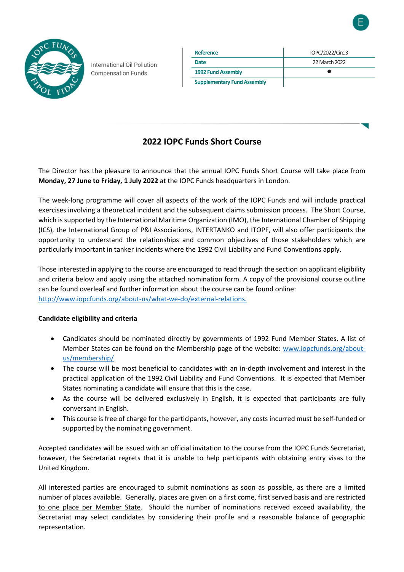

International Oil Pollution **Compensation Funds** 

| Reference                          | IOPC/2022/Circ.3 |
|------------------------------------|------------------|
| Date                               | 22 March 2022    |
| 1992 Fund Assembly                 |                  |
| <b>Supplementary Fund Assembly</b> |                  |

## **2022 IOPC Funds Short Course**

The Director has the pleasure to announce that the annual IOPC Funds Short Course will take place from **Monday, 27 June to Friday, 1 July 2022** at the IOPC Funds headquarters in London.

The week-long programme will cover all aspects of the work of the IOPC Funds and will include practical exercises involving a theoretical incident and the subsequent claims submission process. The Short Course, which is supported by the International Maritime Organization (IMO), the International Chamber of Shipping (ICS), the International Group of P&I Associations, INTERTANKO and ITOPF, will also offer participants the opportunity to understand the relationships and common objectives of those stakeholders which are particularly important in tanker incidents where the 1992 Civil Liability and Fund Conventions apply.

Those interested in applying to the course are encouraged to read through the section on applicant eligibility and criteria below and apply using the attached nomination form. A copy of the provisional course outline can be found overleaf and further information about the course can be found online: [http://www.iopcfunds.org/about-us/what-we-do/external-relations.](http://www.iopcfunds.org/about-us/what-we-do/external-relations)

### **Candidate eligibility and criteria**

- Candidates should be nominated directly by governments of 1992 Fund Member States. A list of Member States can be found on the Membership page of the website: [www.iopcfunds.org/about](https://iopcfunds.org/about-us/membership/)[us/membership/](https://iopcfunds.org/about-us/membership/)
- The course will be most beneficial to candidates with an in-depth involvement and interest in the practical application of the 1992 Civil Liability and Fund Conventions. It is expected that Member States nominating a candidate will ensure that this is the case.
- As the course will be delivered exclusively in English, it is expected that participants are fully conversant in English.
- This course is free of charge for the participants, however, any costs incurred must be self-funded or supported by the nominating government.

Accepted candidates will be issued with an official invitation to the course from the IOPC Funds Secretariat, however, the Secretariat regrets that it is unable to help participants with obtaining entry visas to the United Kingdom.

All interested parties are encouraged to submit nominations as soon as possible, as there are a limited number of places available. Generally, places are given on a first come, first served basis and are restricted to one place per Member State. Should the number of nominations received exceed availability, the Secretariat may select candidates by considering their profile and a reasonable balance of geographic representation.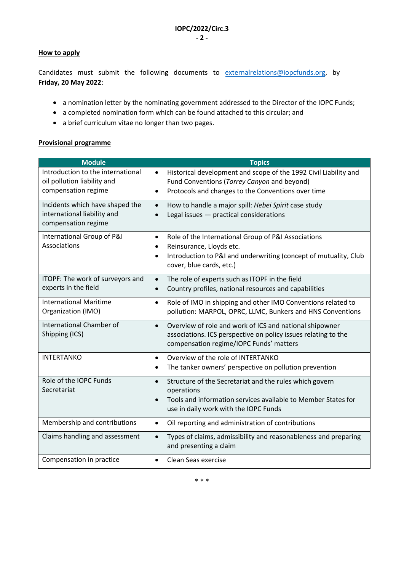#### **How to apply**

Candidates must submit the following documents to [externalrelations@iopcfunds.org,](mailto:externalrelations@iopcfunds.org?subject=IOPC%20Funds%202020%20Short%20Course%20-%20Nomination) by **Friday, 20 May 2022**:

- a nomination letter by the nominating government addressed to the Director of the IOPC Funds;
- a completed nomination form which can be found attached to this circular; and
- a brief curriculum vitae no longer than two pages.

#### **Provisional programme**

| <b>Module</b>                                                                           | <b>Topics</b>                                                                                                                                                                                             |
|-----------------------------------------------------------------------------------------|-----------------------------------------------------------------------------------------------------------------------------------------------------------------------------------------------------------|
| Introduction to the international<br>oil pollution liability and<br>compensation regime | Historical development and scope of the 1992 Civil Liability and<br>$\bullet$<br>Fund Conventions (Torrey Canyon and beyond)<br>Protocols and changes to the Conventions over time<br>$\bullet$           |
| Incidents which have shaped the<br>international liability and<br>compensation regime   | How to handle a major spill: Hebei Spirit case study<br>$\bullet$<br>Legal issues - practical considerations                                                                                              |
| International Group of P&I<br>Associations                                              | Role of the International Group of P&I Associations<br>$\bullet$<br>Reinsurance, Lloyds etc.<br>$\bullet$<br>Introduction to P&I and underwriting (concept of mutuality, Club<br>cover, blue cards, etc.) |
| ITOPF: The work of surveyors and<br>experts in the field                                | The role of experts such as ITOPF in the field<br>$\bullet$<br>Country profiles, national resources and capabilities<br>$\bullet$                                                                         |
| <b>International Maritime</b><br>Organization (IMO)                                     | Role of IMO in shipping and other IMO Conventions related to<br>$\bullet$<br>pollution: MARPOL, OPRC, LLMC, Bunkers and HNS Conventions                                                                   |
| International Chamber of<br>Shipping (ICS)                                              | Overview of role and work of ICS and national shipowner<br>$\bullet$<br>associations. ICS perspective on policy issues relating to the<br>compensation regime/IOPC Funds' matters                         |
| <b>INTERTANKO</b>                                                                       | Overview of the role of INTERTANKO<br>$\bullet$<br>The tanker owners' perspective on pollution prevention<br>$\bullet$                                                                                    |
| Role of the IOPC Funds<br>Secretariat                                                   | Structure of the Secretariat and the rules which govern<br>$\bullet$<br>operations<br>Tools and information services available to Member States for<br>use in daily work with the IOPC Funds              |
| Membership and contributions                                                            | Oil reporting and administration of contributions<br>$\bullet$                                                                                                                                            |
| Claims handling and assessment                                                          | Types of claims, admissibility and reasonableness and preparing<br>$\bullet$<br>and presenting a claim                                                                                                    |
| Compensation in practice                                                                | Clean Seas exercise<br>$\bullet$                                                                                                                                                                          |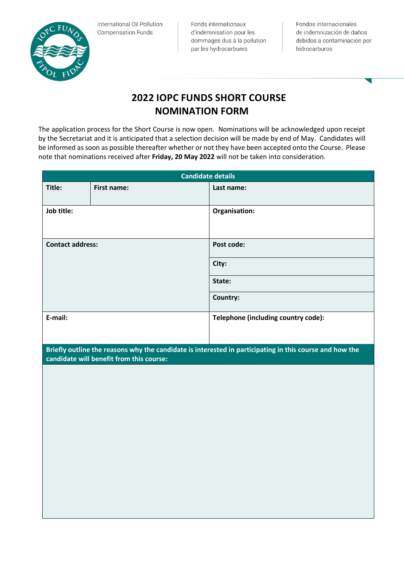

International Oil Pollution **Compensation Funds** 

Fonds internationaux d'indemnisation pour les dommages dus à la pollution par les hydrocarbures

Fondos internacionales de indemnización de daños debidos a contaminación por hidrocarburos

# **2022 IOPC FUNDS SHORT COURSE NOMINATION FORM**

The application process for the Short Course is now open. Nominations will be acknowledged upon receipt by the Secretariat and it is anticipated that a selection decision will be made by end of May. Candidates will be informed as soon as possible thereafter whether or not they have been accepted onto the Course. Please note that nominations received after **Friday, 20 May 2022** will not be taken into consideration.

| <b>Candidate details</b> |                                          |                                                                                                         |
|--------------------------|------------------------------------------|---------------------------------------------------------------------------------------------------------|
| Title:                   | First name:                              | Last name:                                                                                              |
| Job title:               |                                          | Organisation:                                                                                           |
| <b>Contact address:</b>  |                                          | Post code:                                                                                              |
|                          |                                          | City:                                                                                                   |
|                          |                                          | State:                                                                                                  |
|                          |                                          | Country:                                                                                                |
| E-mail:                  |                                          | Telephone (including country code):                                                                     |
|                          | candidate will benefit from this course: | Briefly outline the reasons why the candidate is interested in participating in this course and how the |
|                          |                                          |                                                                                                         |
|                          |                                          |                                                                                                         |
|                          |                                          |                                                                                                         |
|                          |                                          |                                                                                                         |
|                          |                                          |                                                                                                         |
|                          |                                          |                                                                                                         |
|                          |                                          |                                                                                                         |
|                          |                                          |                                                                                                         |